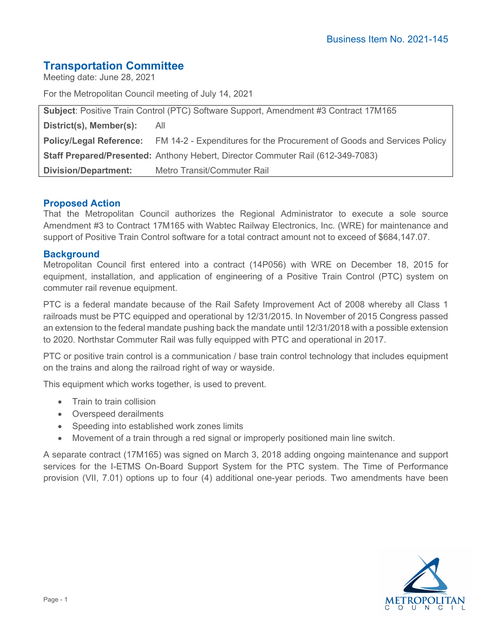# **Transportation Committee**

Meeting date: June 28, 2021

For the Metropolitan Council meeting of July 14, 2021

| <b>Subject: Positive Train Control (PTC) Software Support, Amendment #3 Contract 17M165</b> |                                                                                                        |
|---------------------------------------------------------------------------------------------|--------------------------------------------------------------------------------------------------------|
| District(s), Member(s): All                                                                 |                                                                                                        |
|                                                                                             | <b>Policy/Legal Reference:</b> FM 14-2 - Expenditures for the Procurement of Goods and Services Policy |
|                                                                                             | Staff Prepared/Presented: Anthony Hebert, Director Commuter Rail (612-349-7083)                        |
| <b>Division/Department:</b>                                                                 | Metro Transit/Commuter Rail                                                                            |

# **Proposed Action**

That the Metropolitan Council authorizes the Regional Administrator to execute a sole source Amendment #3 to Contract 17M165 with Wabtec Railway Electronics, Inc. (WRE) for maintenance and support of Positive Train Control software for a total contract amount not to exceed of \$684,147.07.

# **Background**

Metropolitan Council first entered into a contract (14P056) with WRE on December 18, 2015 for equipment, installation, and application of engineering of a Positive Train Control (PTC) system on commuter rail revenue equipment.

PTC is a federal mandate because of the Rail Safety Improvement Act of 2008 whereby all Class 1 railroads must be PTC equipped and operational by 12/31/2015. In November of 2015 Congress passed an extension to the federal mandate pushing back the mandate until 12/31/2018 with a possible extension to 2020. Northstar Commuter Rail was fully equipped with PTC and operational in 2017.

PTC or positive train control is a communication / base train control technology that includes equipment on the trains and along the railroad right of way or wayside.

This equipment which works together, is used to prevent.

- Train to train collision
- Overspeed derailments
- Speeding into established work zones limits
- Movement of a train through a red signal or improperly positioned main line switch.

A separate contract (17M165) was signed on March 3, 2018 adding ongoing maintenance and support services for the I-ETMS On-Board Support System for the PTC system. The Time of Performance provision (VII, 7.01) options up to four (4) additional one-year periods. Two amendments have been